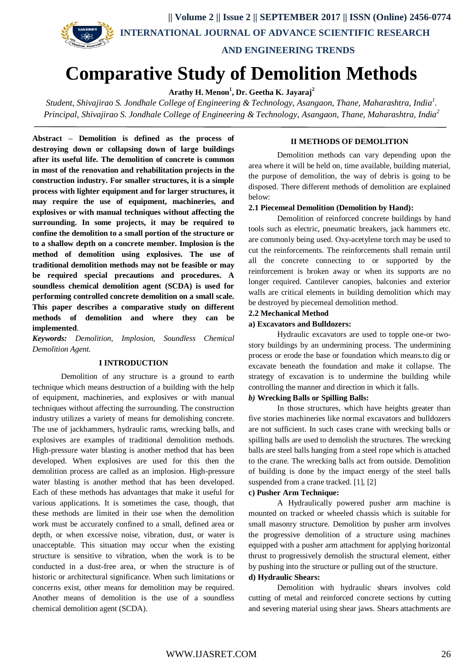

# **Comparative Study of Demolition Methods**

**Arathy H. Menon<sup>1</sup> , Dr. Geetha K. Jayaraj<sup>2</sup>**

*Student, Shivajirao S. Jondhale College of Engineering & Technology, Asangaon, Thane, Maharashtra, India<sup>1</sup> . Principal, Shivajirao S. Jondhale College of Engineering & Technology, Asangaon, Thane, Maharashtra, India<sup>2</sup>*

**Abstract – Demolition is defined as the process of destroying down or collapsing down of large buildings after its useful life. The demolition of concrete is common in most of the renovation and rehabilitation projects in the construction industry. For smaller structures, it is a simple process with lighter equipment and for larger structures, it may require the use of equipment, machineries, and explosives or with manual techniques without affecting the surrounding. In some projects, it may be required to confine the demolition to a small portion of the structure or to a shallow depth on a concrete member. Implosion is the method of demolition using explosives. The use of traditional demolition methods may not be feasible or may be required special precautions and procedures. A soundless chemical demolition agent (SCDA) is used for performing controlled concrete demolition on a small scale. This paper describes a comparative study on different methods of demolition and where they can be implemented**.

*Keywords: Demolition, Implosion, Soundless Chemical Demolition Agent.*

## **I INTRODUCTION**

Demolition of any structure is a ground to earth technique which means destruction of a building with the help of equipment, machineries, and explosives or with manual techniques without affecting the surrounding. The construction industry utilizes a variety of means for demolishing concrete. The use of jackhammers, hydraulic rams, wrecking balls, and explosives are examples of traditional demolition methods. High-pressure water blasting is another method that has been developed. When explosives are used for this then the demolition process are called as an implosion. High-pressure water blasting is another method that has been developed. Each of these methods has advantages that make it useful for various applications. It is sometimes the case, though, that these methods are limited in their use when the demolition work must be accurately confined to a small, defined area or depth, or when excessive noise, vibration, dust, or water is unacceptable. This situation may occur when the existing structure is sensitive to vibration, when the work is to be conducted in a dust-free area, or when the structure is of historic or architectural significance. When such limitations or concerns exist, other means for demolition may be required. Another means of demolition is the use of a soundless chemical demolition agent (SCDA).

#### **II METHODS OF DEMOLITION**

Demolition methods can vary depending upon the area where it will be held on, time available, building material, the purpose of demolition, the way of debris is going to be disposed. There different methods of demolition are explained below:

## **2.1 Piecemeal Demolition (Demolition by Hand):**

Demolition of reinforced concrete buildings by hand tools such as electric, pneumatic breakers, jack hammers etc. are commonly being used. Oxy-acetylene torch may be used to cut the reinforcements. The reinforcements shall remain until all the concrete connecting to or supported by the reinforcement is broken away or when its supports are no longer required. Cantilever canopies, balconies and exterior walls are critical elements in building demolition which may be destroyed by piecemeal demolition method.

## **2.2 Mechanical Method**

#### **a) Excavators and Bulldozers:**

Hydraulic excavators are used to topple one-or twostory buildings by an undermining process. The undermining process or erode the base or foundation which means.to dig or excavate beneath the foundation and make it collapse. The strategy of excavation is to undermine the building while controlling the manner and direction in which it falls.

#### *b)* **Wrecking Balls or Spilling Balls:**

In those structures, which have heights greater than five stories machineries like normal excavators and bulldozers are not sufficient. In such cases crane with wrecking balls or spilling balls are used to demolish the structures. The wrecking balls are steel balls hanging from a steel rope which is attached to the crane. The wrecking balls act from outside. Demolition of building is done by the impact energy of the steel balls suspended from a crane tracked. [1], [2]

#### **c) Pusher Arm Technique:**

A Hydraulically powered pusher arm machine is mounted on tracked or wheeled chassis which is suitable for small masonry structure. Demolition by pusher arm involves the progressive demolition of a structure using machines equipped with a pusher arm attachment for applying horizontal thrust to progressively demolish the structural element, either by pushing into the structure or pulling out of the structure.

#### **d) Hydraulic Shears:**

Demolition with hydraulic shears involves cold cutting of metal and reinforced concrete sections by cutting and severing material using shear jaws. Shears attachments are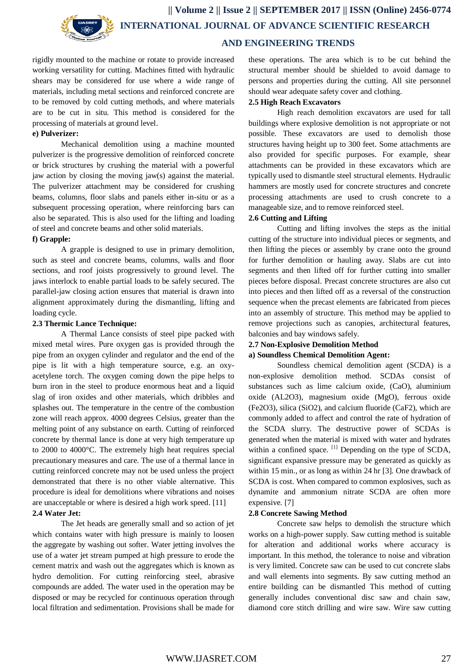

rigidly mounted to the machine or rotate to provide increased working versatility for cutting. Machines fitted with hydraulic shears may be considered for use where a wide range of materials, including metal sections and reinforced concrete are to be removed by cold cutting methods, and where materials are to be cut in situ. This method is considered for the processing of materials at ground level.

### **e) Pulverizer:**

Mechanical demolition using a machine mounted pulverizer is the progressive demolition of reinforced concrete or brick structures by crushing the material with a powerful jaw action by closing the moving jaw(s) against the material. The pulverizer attachment may be considered for crushing beams, columns, floor slabs and panels either in-situ or as a subsequent processing operation, where reinforcing bars can also be separated. This is also used for the lifting and loading of steel and concrete beams and other solid materials.

#### **f) Grapple:**

A grapple is designed to use in primary demolition, such as steel and concrete beams, columns, walls and floor sections, and roof joists progressively to ground level. The jaws interlock to enable partial loads to be safely secured. The parallel-jaw closing action ensures that material is drawn into alignment approximately during the dismantling, lifting and loading cycle.

## **2.3 Thermic Lance Technique:**

A Thermal Lance consists of steel pipe packed with mixed metal wires. Pure oxygen gas is provided through the pipe from an oxygen cylinder and regulator and the end of the pipe is lit with a high temperature source, e.g. an oxyacetylene torch. The oxygen coming down the pipe helps to burn iron in the steel to produce enormous heat and a liquid slag of iron oxides and other materials, which dribbles and splashes out. The temperature in the centre of the combustion zone will reach approx. 4000 degrees Celsius, greater than the melting point of any substance on earth. Cutting of reinforced concrete by thermal lance is done at very high temperature up to 2000 to 4000°C. The extremely high heat requires special precautionary measures and care. The use of a thermal lance in cutting reinforced concrete may not be used unless the project demonstrated that there is no other viable alternative. This procedure is ideal for demolitions where vibrations and noises are unacceptable or where is desired a high work speed. [11]

## **2.4 Water Jet:**

The Jet heads are generally small and so action of jet which contains water with high pressure is mainly to loosen the aggregate by washing out softer. Water jetting involves the use of a water jet stream pumped at high pressure to erode the cement matrix and wash out the aggregates which is known as hydro demolition. For cutting reinforcing steel, abrasive compounds are added. The water used in the operation may be disposed or may be recycled for continuous operation through local filtration and sedimentation. Provisions shall be made for

these operations. The area which is to be cut behind the structural member should be shielded to avoid damage to persons and properties during the cutting. All site personnel should wear adequate safety cover and clothing.

## **2.5 High Reach Excavators**

High reach demolition excavators are used for tall buildings where explosive demolition is not appropriate or not possible. These excavators are used to demolish those structures having height up to 300 feet. Some attachments are also provided for specific purposes. For example, shear attachments can be provided in these excavators which are typically used to dismantle steel structural elements. Hydraulic hammers are mostly used for concrete structures and concrete processing attachments are used to crush concrete to a manageable size, and to remove reinforced steel.

#### **2.6 Cutting and Lifting**

Cutting and lifting involves the steps as the initial cutting of the structure into individual pieces or segments, and then lifting the pieces or assembly by crane onto the ground for further demolition or hauling away. Slabs are cut into segments and then lifted off for further cutting into smaller pieces before disposal. Precast concrete structures are also cut into pieces and then lifted off as a reversal of the construction sequence when the precast elements are fabricated from pieces into an assembly of structure. This method may be applied to remove projections such as canopies, architectural features, balconies and bay windows safely.

## **2.7 Non-Explosive Demolition Method**

#### **a) Soundless Chemical Demolition Agent:**

Soundless chemical demolition agent (SCDA) is a non-explosive demolition method. SCDAs consist of substances such as lime calcium oxide, (CaO), aluminium oxide (AL2O3), magnesium oxide (MgO), ferrous oxide (Fe2O3), silica (SiO2), and calcium fluoride (CaF2), which are commonly added to affect and control the rate of hydration of the SCDA slurry. The destructive power of SCDAs is generated when the material is mixed with water and hydrates within a confined space.  $\left[1\right]$  Depending on the type of SCDA, significant expansive pressure may be generated as quickly as within 15 min., or as long as within 24 hr [3]. One drawback of SCDA is cost. When compared to common explosives, such as dynamite and ammonium nitrate SCDA are often more expensive. [7]

## **2.8 Concrete Sawing Method**

Concrete saw helps to demolish the structure which works on a high-power supply. Saw cutting method is suitable for alteration and additional works where accuracy is important. In this method, the tolerance to noise and vibration is very limited. Concrete saw can be used to cut concrete slabs and wall elements into segments. By saw cutting method an entire building can be dismantled This method of cutting generally includes conventional disc saw and chain saw, diamond core stitch drilling and wire saw. Wire saw cutting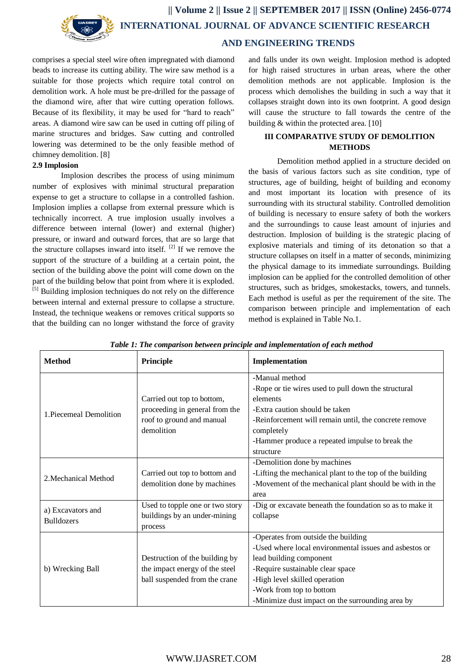

**|| Volume 2 || Issue 2 || SEPTEMBER 2017 || ISSN (Online) 2456-0774 INTERNATIONAL JOURNAL OF ADVANCE SCIENTIFIC RESEARCH AND ENGINEERING TRENDS**

comprises a special steel wire often impregnated with diamond beads to increase its cutting ability. The wire saw method is a suitable for those projects which require total control on demolition work. A hole must be pre-drilled for the passage of the diamond wire, after that wire cutting operation follows. Because of its flexibility, it may be used for "hard to reach" areas. A diamond wire saw can be used in cutting off piling of marine structures and bridges. Saw cutting and controlled lowering was determined to be the only feasible method of chimney demolition. [8]

#### **2.9 Implosion**

Implosion describes the process of using minimum number of explosives with minimal structural preparation expense to get a structure to collapse in a controlled fashion. Implosion implies a collapse from external pressure which is technically incorrect. A true implosion usually involves a difference between internal (lower) and external (higher) pressure, or inward and outward forces, that are so large that the structure collapses inward into itself.  $^{[2]}$  If we remove the support of the structure of a building at a certain point, the section of the building above the point will come down on the part of the building below that point from where it is exploded. [5] Building implosion techniques do not rely on the difference between internal and external pressure to collapse a structure. Instead, the technique weakens or removes critical supports so that the building can no longer withstand the force of gravity

and falls under its own weight. Implosion method is adopted for high raised structures in urban areas, where the other demolition methods are not applicable. Implosion is the process which demolishes the building in such a way that it collapses straight down into its own footprint. A good design will cause the structure to fall towards the centre of the building & within the protected area. [10]

## **III COMPARATIVE STUDY OF DEMOLITION METHODS**

Demolition method applied in a structure decided on the basis of various factors such as site condition, type of structures, age of building, height of building and economy and most important its location with presence of its surrounding with its structural stability. Controlled demolition of building is necessary to ensure safety of both the workers and the surroundings to cause least amount of injuries and destruction. Implosion of building is the strategic placing of explosive materials and timing of its detonation so that a structure collapses on itself in a matter of seconds, minimizing the physical damage to its immediate surroundings. Building implosion can be applied for the controlled demolition of other structures, such as bridges, smokestacks, towers, and tunnels. Each method is useful as per the requirement of the site. The comparison between principle and implementation of each method is explained in Table No.1.

| <b>Method</b>                          | Principle                                                                                               | Implementation                                                                                                                                                                                                                                                                |
|----------------------------------------|---------------------------------------------------------------------------------------------------------|-------------------------------------------------------------------------------------------------------------------------------------------------------------------------------------------------------------------------------------------------------------------------------|
| 1. Piecemeal Demolition                | Carried out top to bottom,<br>proceeding in general from the<br>roof to ground and manual<br>demolition | -Manual method<br>-Rope or tie wires used to pull down the structural<br>elements<br>-Extra caution should be taken<br>-Reinforcement will remain until, the concrete remove<br>completely<br>-Hammer produce a repeated impulse to break the<br>structure                    |
| 2. Mechanical Method                   | Carried out top to bottom and<br>demolition done by machines                                            | -Demolition done by machines<br>-Lifting the mechanical plant to the top of the building<br>-Movement of the mechanical plant should be with in the<br>area                                                                                                                   |
| a) Excavators and<br><b>Bulldozers</b> | Used to topple one or two story<br>buildings by an under-mining<br>process                              | -Dig or excavate beneath the foundation so as to make it<br>collapse                                                                                                                                                                                                          |
| b) Wrecking Ball                       | Destruction of the building by<br>the impact energy of the steel<br>ball suspended from the crane       | -Operates from outside the building<br>-Used where local environmental issues and asbestos or<br>lead building component<br>-Require sustainable clear space<br>-High level skilled operation<br>-Work from top to bottom<br>-Minimize dust impact on the surrounding area by |

| Table 1: The comparison between principle and implementation of each method |  |  |  |
|-----------------------------------------------------------------------------|--|--|--|
|-----------------------------------------------------------------------------|--|--|--|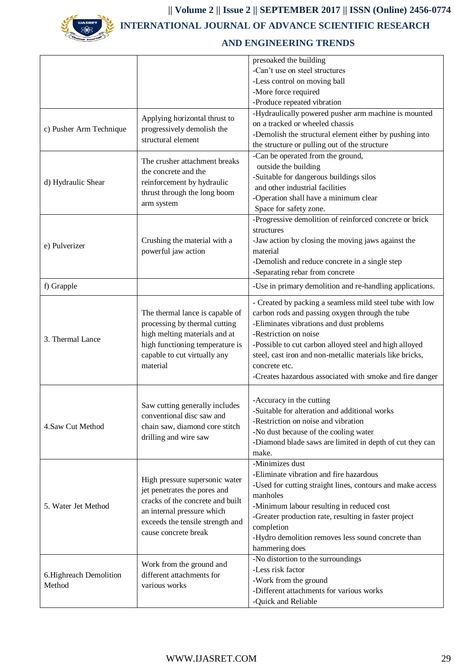

**|| Volume 2 || Issue 2 || SEPTEMBER 2017 || ISSN (Online) 2456-0774 INTERNATIONAL JOURNAL OF ADVANCE SCIENTIFIC RESEARCH** 

## **AND ENGINEERING TRENDS**

|                                   |                                                                                                                                                                                              | presoaked the building                                     |
|-----------------------------------|----------------------------------------------------------------------------------------------------------------------------------------------------------------------------------------------|------------------------------------------------------------|
|                                   |                                                                                                                                                                                              | -Can't use on steel structures                             |
|                                   |                                                                                                                                                                                              | -Less control on moving ball                               |
|                                   |                                                                                                                                                                                              | -More force required                                       |
|                                   |                                                                                                                                                                                              | -Produce repeated vibration                                |
|                                   |                                                                                                                                                                                              | -Hydraulically powered pusher arm machine is mounted       |
|                                   | Applying horizontal thrust to<br>progressively demolish the<br>structural element                                                                                                            | on a tracked or wheeled chassis                            |
| c) Pusher Arm Technique           |                                                                                                                                                                                              | -Demolish the structural element either by pushing into    |
|                                   |                                                                                                                                                                                              | the structure or pulling out of the structure              |
|                                   | The crusher attachment breaks<br>the concrete and the<br>reinforcement by hydraulic<br>thrust through the long boom<br>arm system                                                            | -Can be operated from the ground,                          |
|                                   |                                                                                                                                                                                              | outside the building                                       |
|                                   |                                                                                                                                                                                              | -Suitable for dangerous buildings silos                    |
| d) Hydraulic Shear                |                                                                                                                                                                                              | and other industrial facilities                            |
|                                   |                                                                                                                                                                                              | -Operation shall have a minimum clear                      |
|                                   |                                                                                                                                                                                              | Space for safety zone.                                     |
|                                   |                                                                                                                                                                                              | -Progressive demolition of reinforced concrete or brick    |
|                                   |                                                                                                                                                                                              | structures                                                 |
|                                   | Crushing the material with a                                                                                                                                                                 | -Jaw action by closing the moving jaws against the         |
| e) Pulverizer                     | powerful jaw action                                                                                                                                                                          | material                                                   |
|                                   |                                                                                                                                                                                              | -Demolish and reduce concrete in a single step             |
|                                   |                                                                                                                                                                                              | -Separating rebar from concrete                            |
| f) Grapple                        |                                                                                                                                                                                              | -Use in primary demolition and re-handling applications.   |
|                                   |                                                                                                                                                                                              |                                                            |
|                                   |                                                                                                                                                                                              | - Created by packing a seamless mild steel tube with low   |
|                                   | The thermal lance is capable of<br>processing by thermal cutting<br>high melting materials and at<br>high functioning temperature is<br>capable to cut virtually any<br>material             | carbon rods and passing oxygen through the tube            |
|                                   |                                                                                                                                                                                              | -Eliminates vibrations and dust problems                   |
|                                   |                                                                                                                                                                                              | -Restriction on noise                                      |
| 3. Thermal Lance                  |                                                                                                                                                                                              | -Possible to cut carbon alloyed steel and high alloyed     |
|                                   |                                                                                                                                                                                              | steel, cast iron and non-metallic materials like bricks,   |
|                                   |                                                                                                                                                                                              | concrete etc.                                              |
|                                   |                                                                                                                                                                                              | -Creates hazardous associated with smoke and fire danger   |
|                                   |                                                                                                                                                                                              |                                                            |
|                                   |                                                                                                                                                                                              | -Accuracy in the cutting                                   |
|                                   | Saw cutting generally includes<br>conventional disc saw and<br>chain saw, diamond core stitch<br>drilling and wire saw                                                                       | -Suitable for alteration and additional works              |
|                                   |                                                                                                                                                                                              | -Restriction on noise and vibration                        |
| 4.Saw Cut Method                  |                                                                                                                                                                                              | -No dust because of the cooling water                      |
|                                   |                                                                                                                                                                                              | -Diamond blade saws are limited in depth of cut they can   |
|                                   |                                                                                                                                                                                              | make.                                                      |
|                                   |                                                                                                                                                                                              | -Minimizes dust                                            |
|                                   | High pressure supersonic water<br>jet penetrates the pores and<br>cracks of the concrete and built<br>an internal pressure which<br>exceeds the tensile strength and<br>cause concrete break | -Eliminate vibration and fire hazardous                    |
|                                   |                                                                                                                                                                                              | -Used for cutting straight lines, contours and make access |
|                                   |                                                                                                                                                                                              | manholes                                                   |
| 5. Water Jet Method               |                                                                                                                                                                                              | -Minimum labour resulting in reduced cost                  |
|                                   |                                                                                                                                                                                              | -Greater production rate, resulting in faster project      |
|                                   |                                                                                                                                                                                              | completion                                                 |
|                                   |                                                                                                                                                                                              | -Hydro demolition removes less sound concrete than         |
|                                   |                                                                                                                                                                                              | hammering does                                             |
| 6. Highreach Demolition<br>Method | Work from the ground and<br>different attachments for<br>various works                                                                                                                       | -No distortion to the surroundings                         |
|                                   |                                                                                                                                                                                              | -Less risk factor                                          |
|                                   |                                                                                                                                                                                              | -Work from the ground                                      |
|                                   |                                                                                                                                                                                              | -Different attachments for various works                   |
|                                   |                                                                                                                                                                                              | -Quick and Reliable                                        |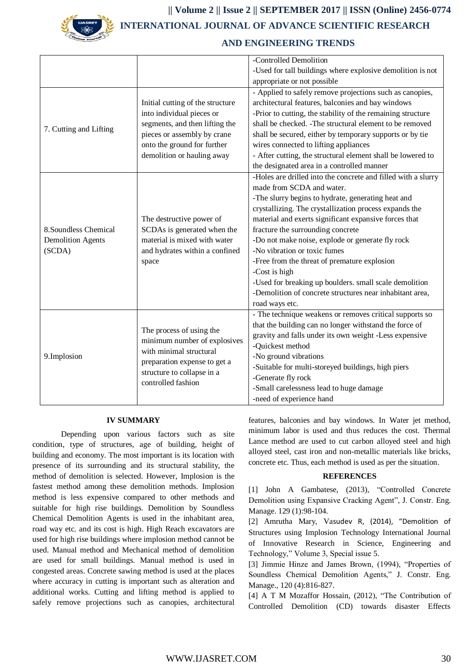

**|| Volume 2 || Issue 2 || SEPTEMBER 2017 || ISSN (Online) 2456-0774 INTERNATIONAL JOURNAL OF ADVANCE SCIENTIFIC RESEARCH** 

## **AND ENGINEERING TRENDS**

|                          |                                                                                                                                                                         | -Controlled Demolition                                        |
|--------------------------|-------------------------------------------------------------------------------------------------------------------------------------------------------------------------|---------------------------------------------------------------|
|                          |                                                                                                                                                                         | -Used for tall buildings where explosive demolition is not    |
|                          |                                                                                                                                                                         | appropriate or not possible                                   |
|                          |                                                                                                                                                                         | - Applied to safely remove projections such as canopies,      |
|                          | Initial cutting of the structure                                                                                                                                        | architectural features, balconies and bay windows             |
|                          | into individual pieces or                                                                                                                                               | -Prior to cutting, the stability of the remaining structure   |
|                          | segments, and then lifting the                                                                                                                                          | shall be checked. -The structural element to be removed       |
| 7. Cutting and Lifting   | pieces or assembly by crane                                                                                                                                             | shall be secured, either by temporary supports or by tie      |
|                          | onto the ground for further                                                                                                                                             | wires connected to lifting appliances                         |
|                          | demolition or hauling away                                                                                                                                              | - After cutting, the structural element shall be lowered to   |
|                          |                                                                                                                                                                         | the designated area in a controlled manner                    |
|                          |                                                                                                                                                                         | -Holes are drilled into the concrete and filled with a slurry |
|                          |                                                                                                                                                                         | made from SCDA and water.                                     |
|                          |                                                                                                                                                                         | -The slurry begins to hydrate, generating heat and            |
|                          |                                                                                                                                                                         | crystallizing. The crystallization process expands the        |
|                          | The destructive power of                                                                                                                                                | material and exerts significant expansive forces that         |
| 8.Soundless Chemical     | SCDAs is generated when the                                                                                                                                             | fracture the surrounding concrete                             |
| <b>Demolition Agents</b> | material is mixed with water                                                                                                                                            | -Do not make noise, explode or generate fly rock              |
| (SCDA)                   | and hydrates within a confined                                                                                                                                          | -No vibration or toxic fumes                                  |
|                          | space                                                                                                                                                                   | -Free from the threat of premature explosion                  |
|                          |                                                                                                                                                                         | -Cost is high                                                 |
|                          |                                                                                                                                                                         | -Used for breaking up boulders. small scale demolition        |
|                          |                                                                                                                                                                         | -Demolition of concrete structures near inhabitant area,      |
|                          |                                                                                                                                                                         | road ways etc.                                                |
|                          |                                                                                                                                                                         | - The technique weakens or removes critical supports so       |
|                          | The process of using the<br>minimum number of explosives<br>with minimal structural<br>preparation expense to get a<br>structure to collapse in a<br>controlled fashion | that the building can no longer withstand the force of        |
| 9.Implosion              |                                                                                                                                                                         | gravity and falls under its own weight -Less expensive        |
|                          |                                                                                                                                                                         | -Quickest method                                              |
|                          |                                                                                                                                                                         | -No ground vibrations                                         |
|                          |                                                                                                                                                                         | -Suitable for multi-storeyed buildings, high piers            |
|                          |                                                                                                                                                                         | -Generate fly rock                                            |
|                          |                                                                                                                                                                         | -Small carelessness lead to huge damage                       |
|                          |                                                                                                                                                                         | -need of experience hand                                      |

#### **IV SUMMARY**

Depending upon various factors such as site condition, type of structures, age of building, height of building and economy. The most important is its location with presence of its surrounding and its structural stability, the method of demolition is selected. However, Implosion is the fastest method among these demolition methods. Implosion method is less expensive compared to other methods and suitable for high rise buildings. Demolition by Soundless Chemical Demolition Agents is used in the inhabitant area, road way etc. and its cost is high. High Reach excavators are used for high rise buildings where implosion method cannot be used. Manual method and Mechanical method of demolition are used for small buildings. Manual method is used in congested areas. Concrete sawing method is used at the places where accuracy in cutting is important such as alteration and additional works. Cutting and lifting method is applied to safely remove projections such as canopies, architectural

features, balconies and bay windows. In Water jet method, minimum labor is used and thus reduces the cost. Thermal Lance method are used to cut carbon alloyed steel and high alloyed steel, cast iron and non-metallic materials like bricks, concrete etc. Thus, each method is used as per the situation.

## **REFERENCES**

[1] John A Gambatese, (2013), "Controlled Concrete Demolition using Expansive Cracking Agent", J. Constr. Eng. Manage. 129 (1):98-104.

[2] Amrutha Mary, Vasudev R, (2014), "Demolition of Structures using Implosion Technology International Journal of Innovative Research in Science, Engineering and Technology," Volume 3, Special issue 5.

[3] Jimmie Hinze and James Brown, (1994), "Properties of Soundless Chemical Demolition Agents," J. Constr. Eng. Manage., 120 (4):816-827.

[4] A T M Mozaffor Hossain, (2012), "The Contribution of Controlled Demolition (CD) towards disaster Effects